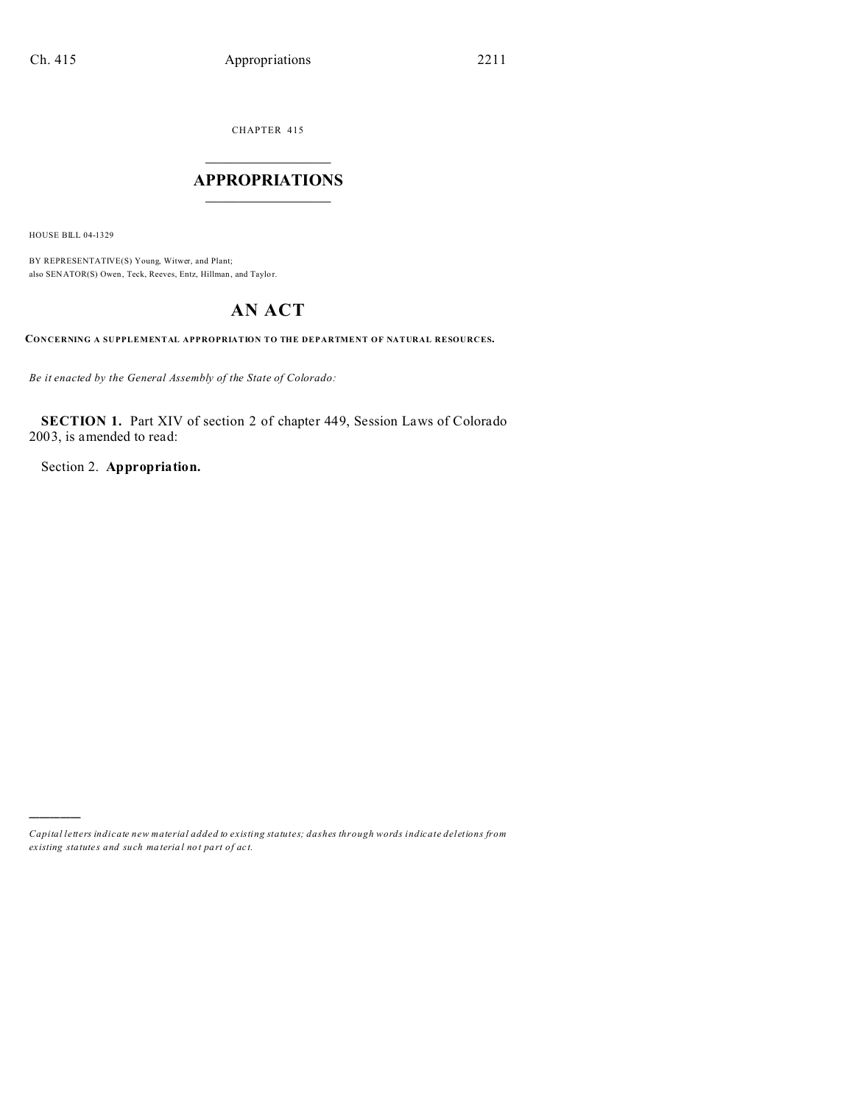CHAPTER 415  $\overline{\phantom{a}}$  , where  $\overline{\phantom{a}}$ 

## **APPROPRIATIONS**  $\_$   $\_$   $\_$   $\_$   $\_$   $\_$   $\_$   $\_$

HOUSE BILL 04-1329

)))))

BY REPRESENTATIVE(S) Young, Witwer, and Plant; also SENATOR(S) Owen, Teck, Reeves, Entz, Hillman, and Taylor.

# **AN ACT**

**CONCERNING A SUPPLEMENTAL APPROPRIATION TO THE DEPARTMENT OF NATURAL RESOURCES.**

*Be it enacted by the General Assembly of the State of Colorado:*

**SECTION 1.** Part XIV of section 2 of chapter 449, Session Laws of Colorado 2003, is amended to read:

Section 2. **Appropriation.**

*Capital letters indicate new material added to existing statutes; dashes through words indicate deletions from ex isting statute s and such ma teria l no t pa rt of ac t.*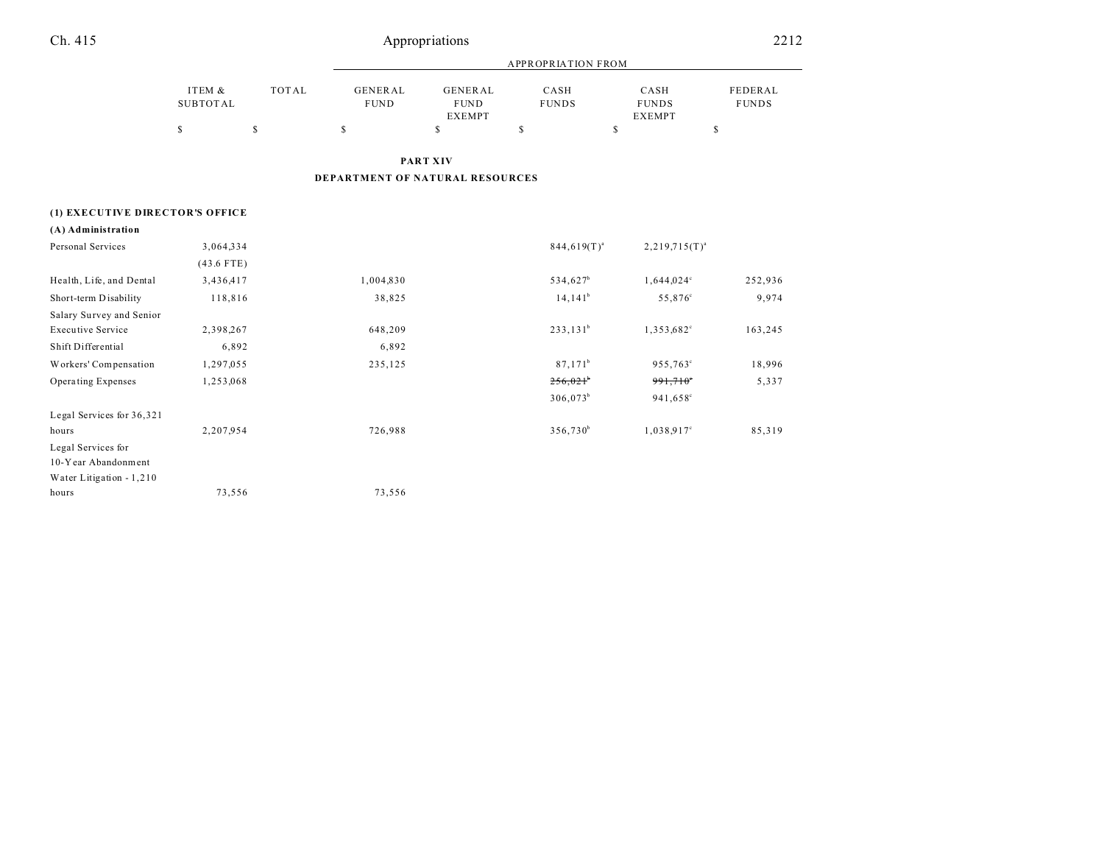| Ch. 415 | Appropriations | 2212 |
|---------|----------------|------|
|         |                |      |

|          |       | APPROPRIATION FROM |               |              |               |              |  |
|----------|-------|--------------------|---------------|--------------|---------------|--------------|--|
| ITEM &   | TOTAL | <b>GENERAL</b>     | GENERAL       | CASH         | CASH          | FEDERAL      |  |
| SUBTOTAL |       | <b>FUND</b>        | <b>FUND</b>   | <b>FUNDS</b> | <b>FUNDS</b>  | <b>FUNDS</b> |  |
|          |       |                    | <b>EXEMPT</b> |              | <b>EXEMPT</b> |              |  |
|          |       |                    |               |              |               |              |  |

**PART XIV**

**DEPARTMENT OF NATURAL RESOURCES**

## **(1) EXECUTIVE DIRECTOR'S OFFICE**

| Personal Services         | 3,064,334    |           | $844,619(T)^{a}$     | $2,219,715(T)^{a}$       |         |
|---------------------------|--------------|-----------|----------------------|--------------------------|---------|
|                           | $(43.6$ FTE) |           |                      |                          |         |
| Health, Life, and Dental  | 3,436,417    | 1,004,830 | 534,627 <sup>b</sup> | $1,644,024$ <sup>c</sup> | 252,936 |
| Short-term Disability     | 118,816      | 38,825    | $14,141^b$           | 55,876 <sup>c</sup>      | 9,974   |
| Salary Survey and Senior  |              |           |                      |                          |         |
| <b>Executive Service</b>  | 2,398,267    | 648,209   | $233,131^b$          | 1,353,682 <sup>c</sup>   | 163,245 |
| Shift Differential        | 6,892        | 6,892     |                      |                          |         |
| Workers' Compensation     | 1,297,055    | 235,125   | $87,171^{\rm b}$     | 955,763°                 | 18,996  |
| Operating Expenses        | 1,253,068    |           | 256,021              | $991,710$ °              | 5,337   |
|                           |              |           | $306,073^b$          | 941,658°                 |         |
| Legal Services for 36,321 |              |           |                      |                          |         |
| hours                     | 2,207,954    | 726,988   | $356,730^b$          | $1,038.917$ °            | 85,319  |
| Legal Services for        |              |           |                      |                          |         |
| 10-Year Abandonment       |              |           |                      |                          |         |
| Water Litigation $-1,210$ |              |           |                      |                          |         |
| hours                     | 73,556       | 73,556    |                      |                          |         |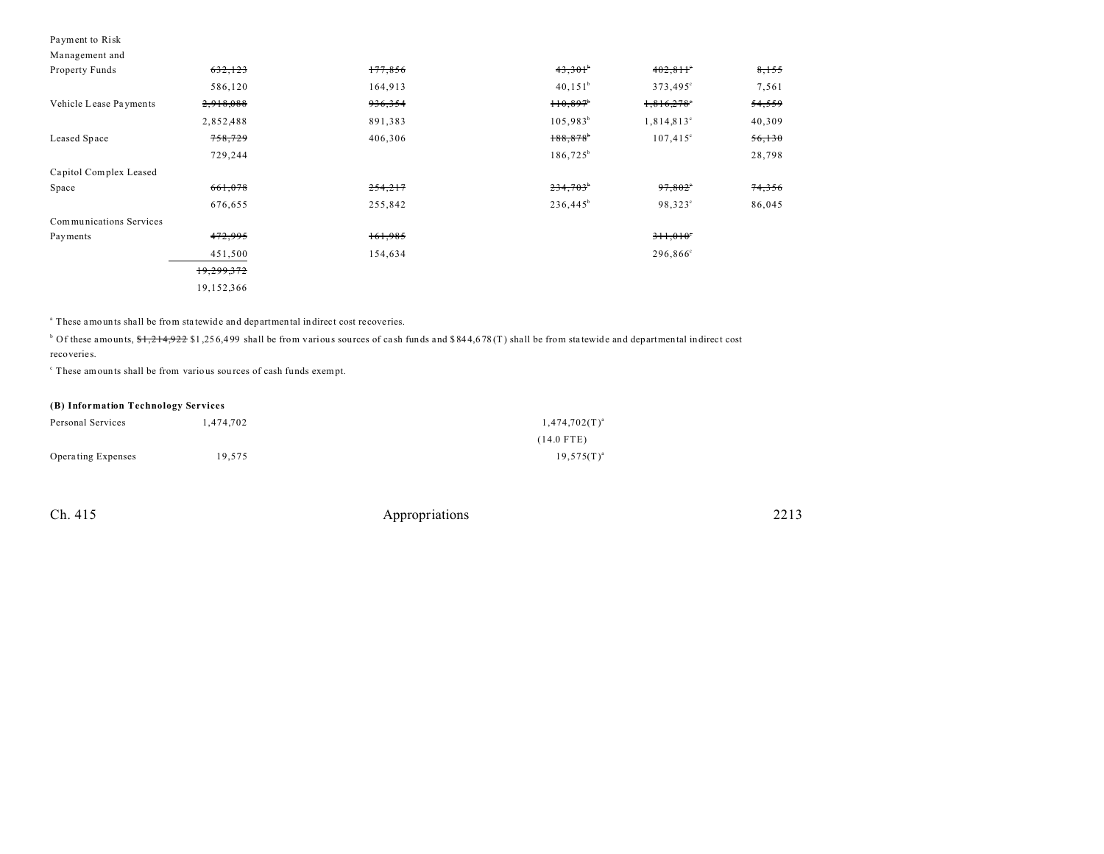#### Payment to Risk

| Management and          |            |         |                        |                          |        |
|-------------------------|------------|---------|------------------------|--------------------------|--------|
| Property Funds          | 632,123    | 177,856 | 43,301                 | 402,811                  | 8,155  |
|                         | 586,120    | 164,913 | $40, 151^b$            | 373,495°                 | 7,561  |
| Vehicle Lease Payments  | 2,918,088  | 936,354 | 110,897                | $1,816,278$ <sup>e</sup> | 54,559 |
|                         | 2,852,488  | 891,383 | $105,983^b$            | $1,814,813^{\circ}$      | 40,309 |
| Leased Space            | 758,729    | 406,306 | $188,878$ <sup>*</sup> | $107,415^{\circ}$        | 56,130 |
|                         | 729,244    |         | $186,725^b$            |                          | 28,798 |
| Capitol Complex Leased  |            |         |                        |                          |        |
| Space                   | 661,078    | 254,217 | 234,703                | 97,802                   | 74,356 |
|                         | 676,655    | 255,842 | $236,445^b$            | $98,323^{\circ}$         | 86,045 |
| Communications Services |            |         |                        |                          |        |
| Payments                | 472,995    | 161,985 |                        | 311,010                  |        |
|                         | 451,500    | 154,634 |                        | 296,866 <sup>c</sup>     |        |
|                         | 19,299,372 |         |                        |                          |        |
|                         | 19,152,366 |         |                        |                          |        |

<sup>a</sup> These amounts shall be from statewide and departmental indirect cost recoveries.

 $\text{b}$  Of these amounts,  $\text{S1}, \text{214}, \text{922 }$  \$1,256,499 shall be from various sources of cash funds and \$844,678(T) shall be from statewide and departmental indirect cost

recoveries.

c These amounts shall be from various sou rces of cash funds exempt.

#### **(B) Information Technology Services**

| Personal Services         | 1.474.702 | $1,474,702(T)^{a}$ |
|---------------------------|-----------|--------------------|
|                           |           | $(14.0$ FTE)       |
| <b>Operating Expenses</b> | 19.575    | $19,575(T)^{a}$    |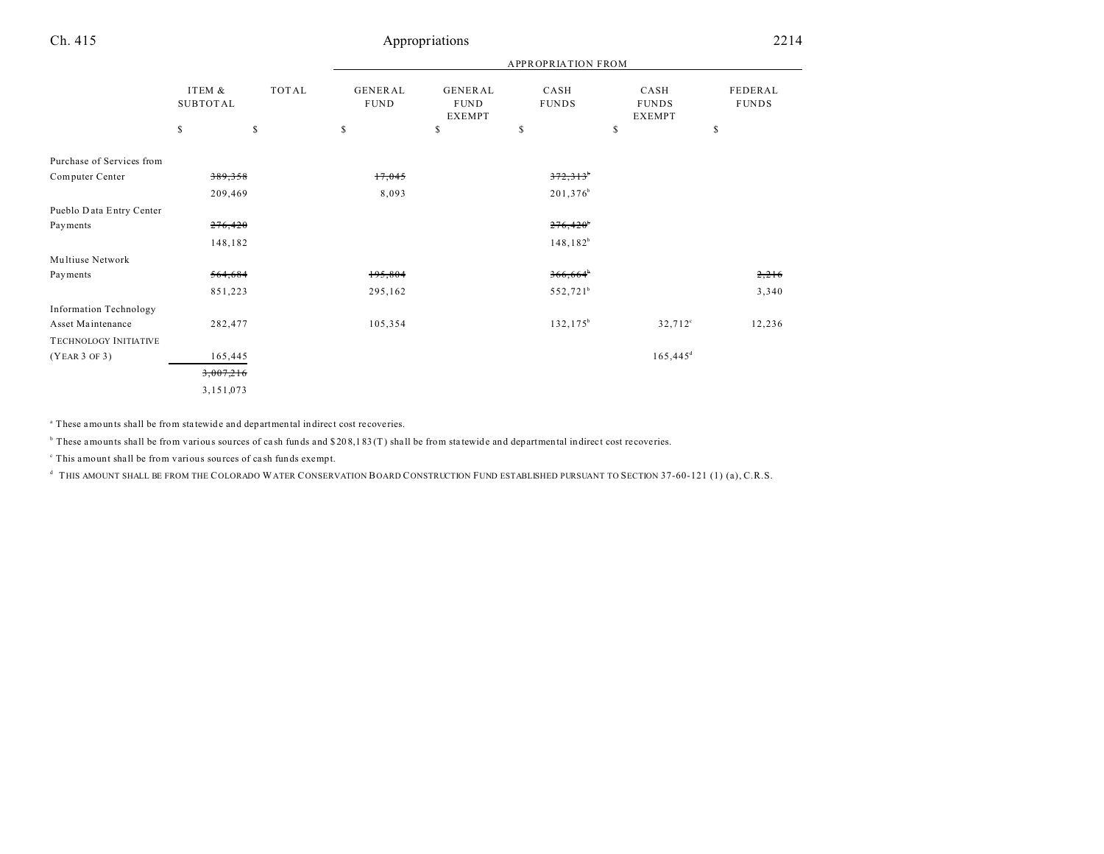|                               |                           |       |                        |                                         | <b>APPROPRIATION FROM</b> |                                       |                         |
|-------------------------------|---------------------------|-------|------------------------|-----------------------------------------|---------------------------|---------------------------------------|-------------------------|
|                               | ITEM &<br><b>SUBTOTAL</b> | TOTAL | GENERAL<br><b>FUND</b> | GENERAL<br><b>FUND</b><br><b>EXEMPT</b> | CASH<br><b>FUNDS</b>      | CASH<br><b>FUNDS</b><br><b>EXEMPT</b> | FEDERAL<br><b>FUNDS</b> |
|                               | $\mathbb{S}$              | \$    | $\mathbb{S}$           | \$                                      | S                         | \$                                    | \$                      |
| Purchase of Services from     |                           |       |                        |                                         |                           |                                       |                         |
| Computer Center               | 389,358                   |       | 17,045                 |                                         | 372,313                   |                                       |                         |
|                               | 209,469                   |       | 8,093                  |                                         | 201,376 <sup>b</sup>      |                                       |                         |
| Pueblo Data Entry Center      |                           |       |                        |                                         |                           |                                       |                         |
| Payments                      | 276,420                   |       |                        |                                         | 276,420                   |                                       |                         |
|                               | 148,182                   |       |                        |                                         | $148, 182^b$              |                                       |                         |
| Multiuse Network              |                           |       |                        |                                         |                           |                                       |                         |
| Payments                      | 564,684                   |       | 195,804                |                                         | 366,664                   |                                       | 2,216                   |
|                               | 851,223                   |       | 295,162                |                                         | 552,721 <sup>b</sup>      |                                       | 3,340                   |
| <b>Information Technology</b> |                           |       |                        |                                         |                           |                                       |                         |
| Asset Maintenance             | 282,477                   |       | 105,354                |                                         | $132, 175^b$              | $32,712^{\circ}$                      | 12,236                  |
| TECHNOLOGY INITIATIVE         |                           |       |                        |                                         |                           |                                       |                         |
| (YEAR 3 OF 3)                 | 165,445                   |       |                        |                                         |                           | $165,445$ <sup>d</sup>                |                         |
|                               | 3,007,216                 |       |                        |                                         |                           |                                       |                         |
|                               | 3,151,073                 |       |                        |                                         |                           |                                       |                         |

<sup>a</sup> These amounts shall be from statewide and departmental indirect cost recoveries.

 $\overline{b}$  These amounts shall be from various sources of cash funds and \$208,183 (T) shall be from statewide and departmental indirect cost recoveries.

c This amount shall be from various sources of ca sh funds exempt.

d THIS AMOUNT SHALL BE FROM THE COLORADO WATER CONSERVATION BOARD CONSTRUCTION FUND ESTABLISHED PURSUANT TO SECTION 37-60-121 (1) (a), C.R.S.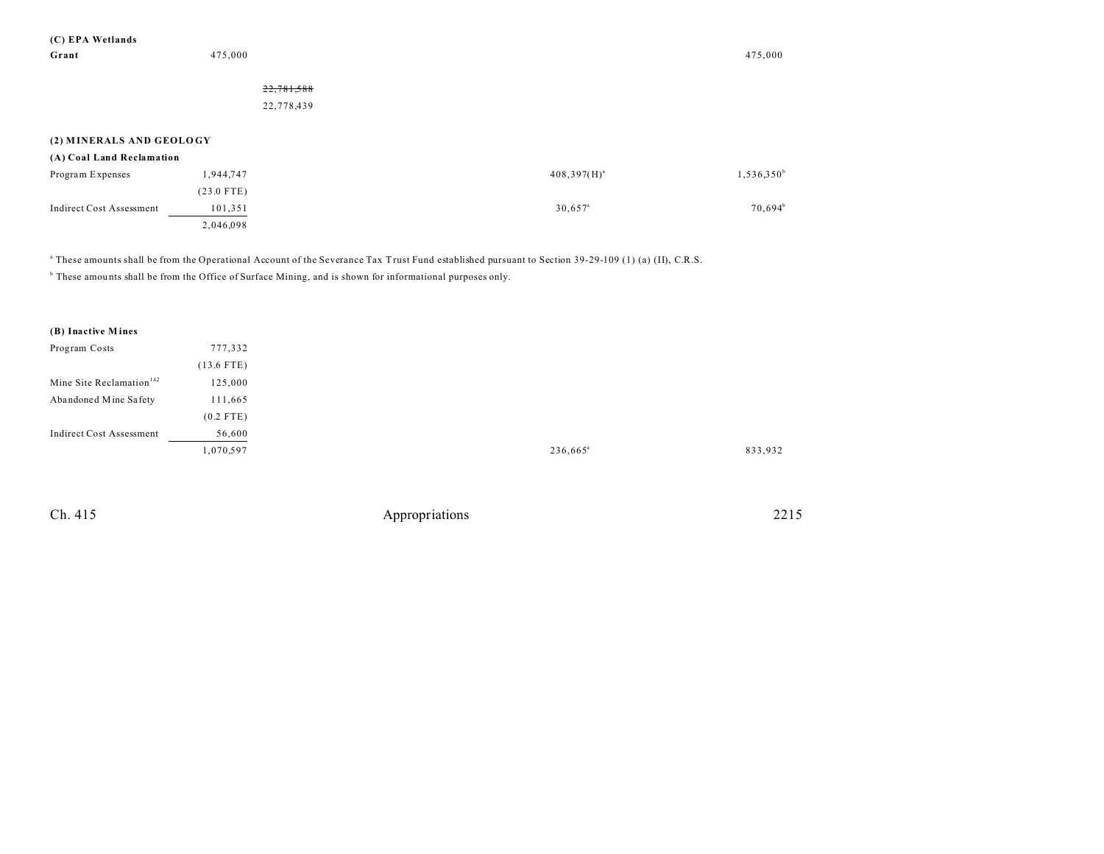| (C) EPA Wetlands                |              |            |                       |               |
|---------------------------------|--------------|------------|-----------------------|---------------|
| Grant                           | 475,000      |            |                       | 475,000       |
|                                 |              |            |                       |               |
|                                 |              | 22,781,588 |                       |               |
|                                 |              | 22,778,439 |                       |               |
|                                 |              |            |                       |               |
| (2) MINERALS AND GEOLOGY        |              |            |                       |               |
| (A) Coal Land Reclamation       |              |            |                       |               |
| Program Expenses                | 1,944,747    |            | $408,397(H)^{a}$      | $1,536,350^b$ |
|                                 | $(23.0$ FTE) |            |                       |               |
| <b>Indirect Cost Assessment</b> | 101,351      |            | $30,657$ <sup>a</sup> | $70,694^b$    |
|                                 | 2,046,098    |            |                       |               |
|                                 |              |            |                       |               |

a These amounts shall be from the Operational Account of the Severance Tax Trust Fund established pursuant to Section 39-29-109 (1) (a) (II), C.R.S.

<sup>b</sup> These amounts shall be from the Office of Surface Mining, and is shown for informational purposes only.

1,070,597

| (B) Inactive Mines                   |              |
|--------------------------------------|--------------|
| Program Costs                        | 777,332      |
|                                      | $(13.6$ FTE) |
| Mine Site Reclamation <sup>142</sup> | 125,000      |
| Abandoned Mine Safety                | 111,665      |
|                                      | $(0.2$ FTE)  |
| <b>Indirect Cost Assessment</b>      | 56,600       |

| $236,665^{\circ}$ | 833,932 |
|-------------------|---------|
|                   |         |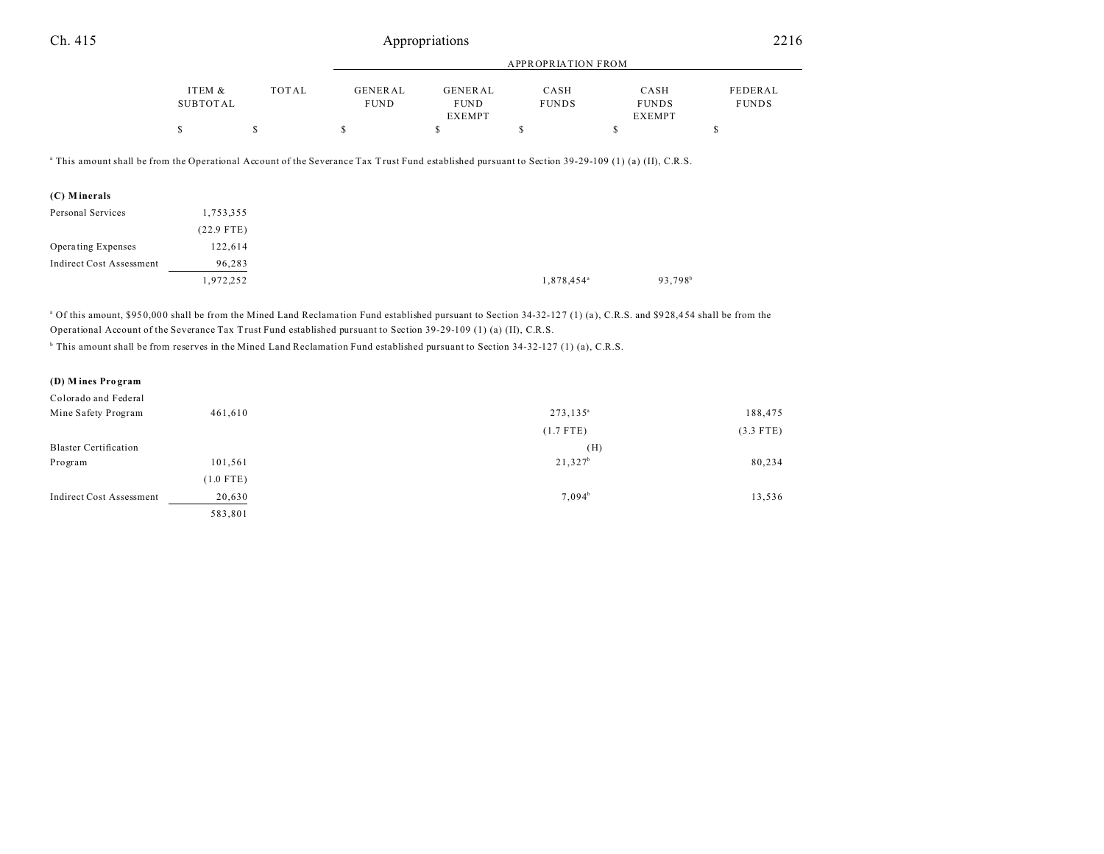|--|--|--|

|                    |       |                        |                        | APPROPRIATION FROM   |                      |                         |
|--------------------|-------|------------------------|------------------------|----------------------|----------------------|-------------------------|
| ITEM &<br>SUBTOTAL | TOTAL | GENERAL<br><b>FUND</b> | GENERAL<br><b>FUND</b> | CASH<br><b>FUNDS</b> | CASH<br><b>FUNDS</b> | FEDERAL<br><b>FUNDS</b> |
|                    |       |                        | <b>EXEMPT</b>          |                      | <b>EXEMPT</b>        |                         |
|                    |       |                        |                        |                      |                      |                         |

a This amount shall be from the Operational Account of the Severance Tax Trust Fund established pursuant to Section 39-29-109 (1) (a) (II), C.R.S.

| (C) Minerals                    |              |
|---------------------------------|--------------|
| Personal Services               | 1,753,355    |
|                                 | $(22.9$ FTE) |
| Operating Expenses              | 122,614      |
| <b>Indirect Cost Assessment</b> | 96,283       |
|                                 | 1,972,252    |

<sup>a</sup> Of this amount, \$950,000 shall be from the Mined Land Reclamation Fund established pursuant to Section 34-32-127 (1) (a), C.R.S. and \$928,454 shall be from the Operational Account of the Severance Tax Trust Fund established pursuant to Section 39-29-109 (1) (a) (II), C.R.S.

<sup>b</sup> This amount shall be from reserves in the Mined Land Reclamation Fund established pursuant to Section 34-32-127 (1) (a), C.R.S.

| (D) Mines Program               |             |                    |             |
|---------------------------------|-------------|--------------------|-------------|
| Colorado and Federal            |             |                    |             |
| Mine Safety Program             | 461,610     | $273, 135^{\circ}$ | 188,475     |
|                                 |             | $(1.7$ FTE)        | $(3.3$ FTE) |
| <b>Blaster Certification</b>    |             | (H)                |             |
| Program                         | 101,561     | $21,327^b$         | 80,234      |
|                                 | $(1.0$ FTE) |                    |             |
| <b>Indirect Cost Assessment</b> | 20,630      | $7,094^b$          | 13,536      |
|                                 | 583,801     |                    |             |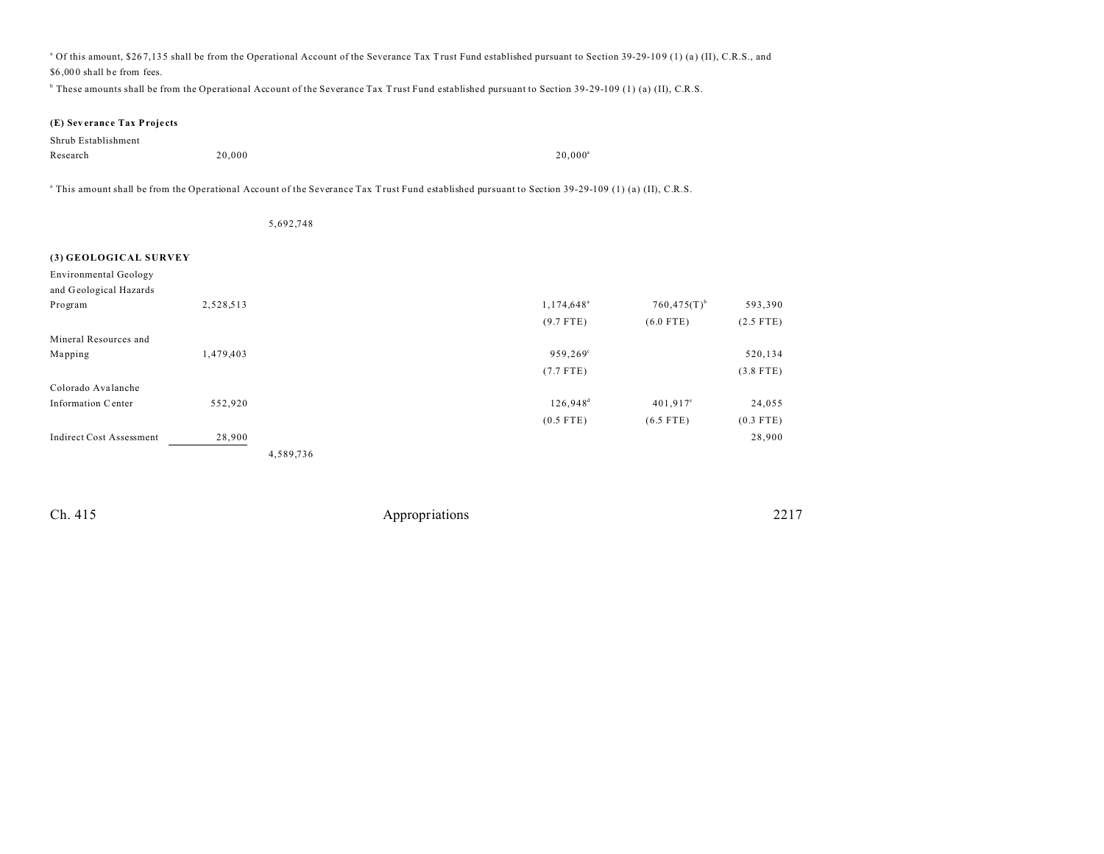<sup>a</sup> Of this amount, \$267,135 shall be from the Operational Account of the Severance Tax Trust Fund established pursuant to Section 39-29-109 (1) (a) (II), C.R.S., and \$6 ,00 0 shall be from fees.

b These amounts shall be from the Operational Account of the Severance Tax Trust Fund established pursuant to Section 39-29-109 (1) (a) (II), C.R.S.

#### **(E) Sev eranc e Tax Proje cts**

| Shrub Establishment |        |            |
|---------------------|--------|------------|
| Research            | 20,000 | $20.000^a$ |

a This amount shall be from the Operational Account of the Severance Tax Trust Fund established pursuant to Section 39-29-109 (1) (a) (II), C.R.S.

|                                 |           | 5,692,748 |                     |                           |             |
|---------------------------------|-----------|-----------|---------------------|---------------------------|-------------|
|                                 |           |           |                     |                           |             |
| (3) GEOLOGICAL SURVEY           |           |           |                     |                           |             |
| <b>Environmental Geology</b>    |           |           |                     |                           |             |
| and Geological Hazards          |           |           |                     |                           |             |
| Program                         | 2,528,513 |           | $1,174,648^{\circ}$ | $760,475(T)$ <sup>b</sup> | 593,390     |
|                                 |           |           | $(9.7$ FTE)         | $(6.0$ FTE)               | $(2.5$ FTE) |
| Mineral Resources and           |           |           |                     |                           |             |
| Mapping                         | 1,479,403 |           | 959,269°            |                           | 520,134     |
|                                 |           |           | $(7.7$ FTE)         |                           | $(3.8$ FTE) |
| Colorado Avalanche              |           |           |                     |                           |             |
| Information Center              | 552,920   |           | $126,948^d$         | $401,917^{\circ}$         | 24,055      |
|                                 |           |           | $(0.5$ FTE)         | $(6.5$ FTE)               | $(0.3$ FTE) |
| <b>Indirect Cost Assessment</b> | 28,900    |           |                     |                           | 28,900      |
|                                 |           | 4,589,736 |                     |                           |             |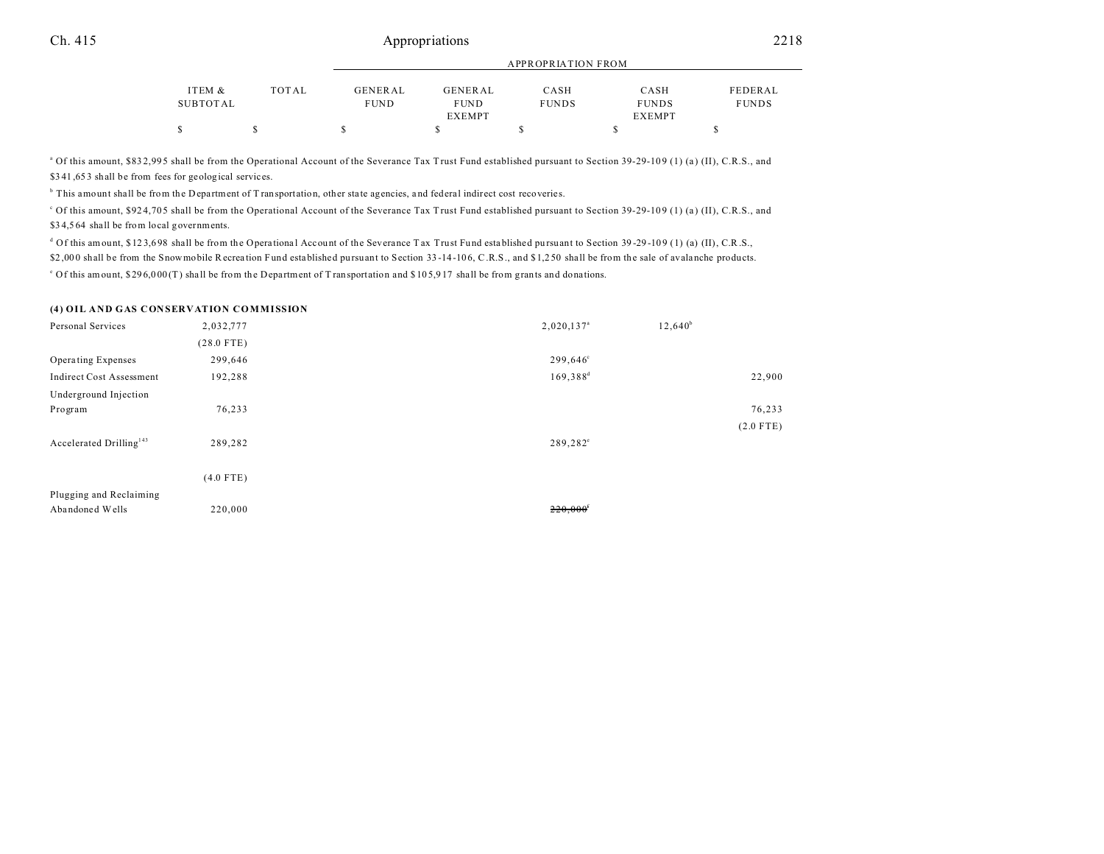|          |       |             |                | $\ldots$     |               |              |
|----------|-------|-------------|----------------|--------------|---------------|--------------|
|          |       |             |                |              |               |              |
| ITEM &   | TOTAL | GENERAL     | <b>GENERAL</b> | CASH         | CASH          | FEDERAL      |
| SUBTOTAL |       | <b>FUND</b> | <b>FUND</b>    | <b>FUNDS</b> | <b>FUNDS</b>  | <b>FUNDS</b> |
|          |       |             | <b>EXEMPT</b>  |              | <b>EXEMPT</b> |              |
|          |       |             |                |              |               |              |
|          |       |             |                |              |               |              |

APPROPRIATION FROM

<sup>a</sup> Of this amount, \$83 2,995 shall be from the Operational Account of the Severance Tax Trust Fund established pursuant to Section 39-29-109 (1) (a) (II), C.R.S., and \$341,653 shall be from fees for geological services.

<sup>b</sup> This amount shall be from the Department of Transportation, other state agencies, and federal indirect cost recoveries.

<sup>c</sup> Of this amount, \$924,705 shall be from the Operational Account of the Severance Tax Trust Fund established pursuant to Section 39-29-109 (1) (a) (II), C.R.S., and \$34,564 shall be from local governments.

d Of this amount, \$123,698 shall be from the Operational Account of the Severance Tax Trust Fund established pursuant to Section 39-29-109 (1) (a) (II), C.R.S.,

\$2,000 shall be from the Snowmobile Recreation Fund established pursuant to Section 33-14-106, C.R.S., and \$1,250 shall be from the sale of avalanche products.

<sup>e</sup> Of this amount, \$296,000(T) shall be from the Department of Transportation and \$105,917 shall be from grants and donations.

#### **(4) OIL AND GAS CONSERVATION COMMISSION**

| Personal Services                   | 2,032,777    | $2,020,137$ <sup>a</sup> | $12,640^b$  |  |
|-------------------------------------|--------------|--------------------------|-------------|--|
|                                     | $(28.0$ FTE) |                          |             |  |
| Operating Expenses                  | 299,646      | 299,646°                 |             |  |
| <b>Indirect Cost Assessment</b>     | 192,288      | $169,388^d$              | 22,900      |  |
| Underground Injection               |              |                          |             |  |
| Program                             | 76,233       |                          | 76,233      |  |
|                                     |              |                          | $(2.0$ FTE) |  |
| Accelerated Drilling <sup>143</sup> | 289,282      | 289,282 <sup>e</sup>     |             |  |
|                                     |              |                          |             |  |
|                                     | $(4.0$ FTE)  |                          |             |  |
| Plugging and Reclaiming             |              |                          |             |  |
| Abandoned Wells                     | 220,000      | 220,000                  |             |  |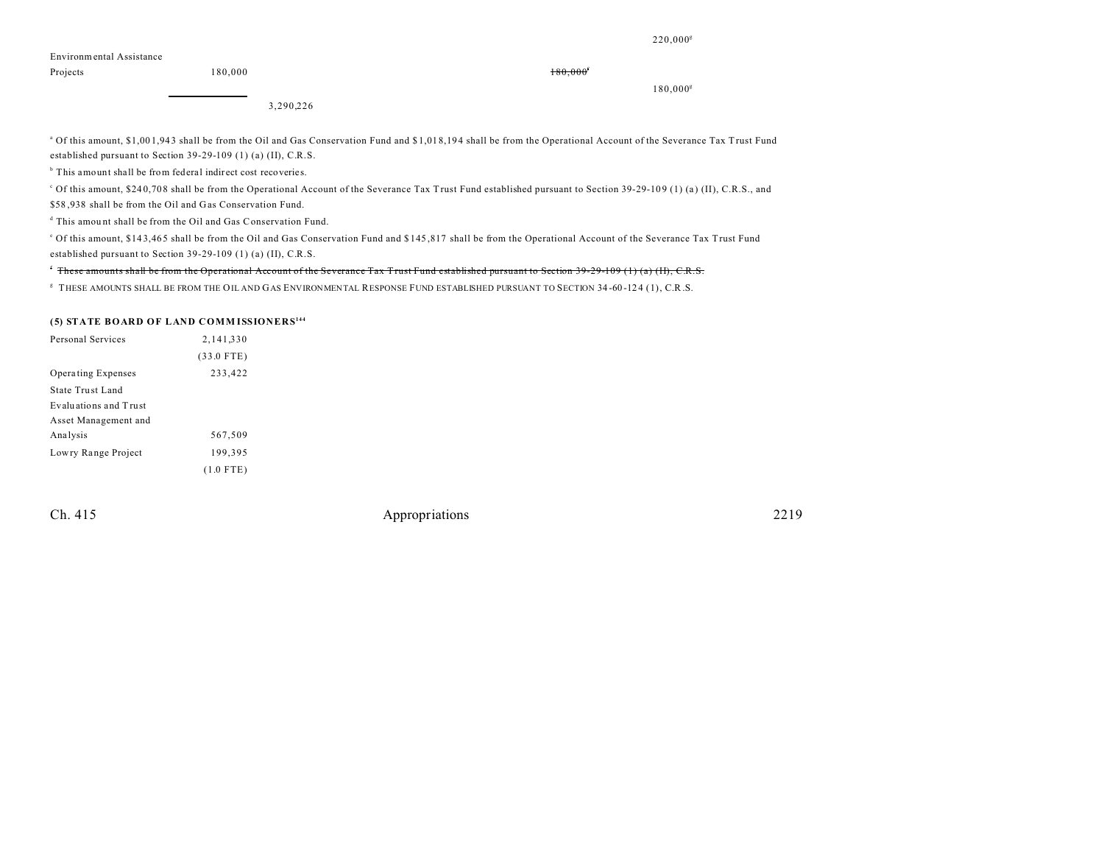220,000<sup>g</sup>

| Environmental Assistance |  |
|--------------------------|--|
|--------------------------|--|

Projects and the set of  $180,000$  and the set of  $180,000$  for  $180,000$  for  $180,000$  for  $180,000$  for  $180,000$  for  $180,000$  for  $180,000$  for  $180,000$  for  $180,000$  for  $180,000$  for  $180,000$  for  $180,000$  for  $180,$ 

180,000<sup>g</sup>

3,290,226

<sup>a</sup> Of this amount, \$1,001,943 shall be from the Oil and Gas Conservation Fund and \$1,018,194 shall be from the Operational Account of the Severance Tax Trust Fund established pursuant to Section 39-29-109 (1) (a) (II), C.R.S.

<sup>b</sup> This amount shall be from federal indirect cost recoveries.

<sup>c</sup> Of this amount, \$240,708 shall be from the Operational Account of the Severance Tax Trust Fund established pursuant to Section 39-29-109 (1) (a) (II), C.R.S., and

\$58 ,938 shall be from the Oil and Gas Conservation Fund.

d This amou nt shall be from the Oil and Gas Conservation Fund.

e Of this amount, \$14 3,46 5 shall be from the Oil and Gas Conservation Fund and \$ 145 ,817 shall be from the Operational Account of the Severance Tax Trust Fund established pursuant to Section 39-29-109 (1) (a) (II), C.R.S.

f These amounts shall be from the Operational Account of the Severance Tax Trust Fund established pursuant to Section 39-29-109 (1) (a) (II), C.R.S.

g THESE AMOUNTS SHALL BE FROM THE OIL AND GAS ENVIRONMENTAL RESPONSE FUND ESTABLISHED PURSUANT TO SECTION 34 -60 -12 4 (1), C.R.S.

#### **(5) STATE BOARD OF LAND COMM ISSIONERS<sup>144</sup>**

| Personal Services         | 2,141,330    |  |
|---------------------------|--------------|--|
|                           | $(33.0$ FTE) |  |
| <b>Operating Expenses</b> | 233,422      |  |
| State Trust Land          |              |  |
| Evaluations and Trust     |              |  |
| Asset Management and      |              |  |
| Analysis                  | 567,509      |  |
| Lowry Range Project       | 199.395      |  |
|                           | $(1.0$ FTE)  |  |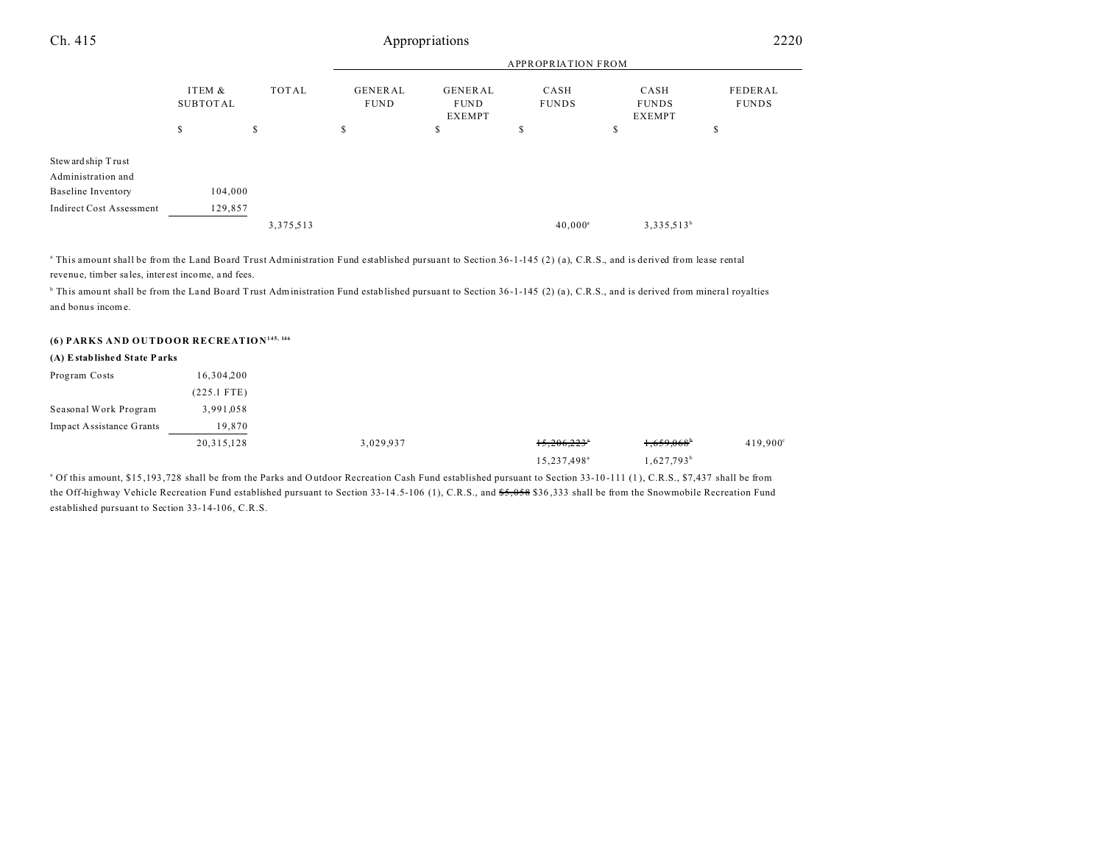| Ch. 415                                 | Appropriations     |              |                               |                                                |                           |                                       | 2220                    |  |
|-----------------------------------------|--------------------|--------------|-------------------------------|------------------------------------------------|---------------------------|---------------------------------------|-------------------------|--|
|                                         |                    |              |                               |                                                | <b>APPROPRIATION FROM</b> |                                       |                         |  |
|                                         | ITEM &<br>SUBTOTAL | <b>TOTAL</b> | <b>GENERAL</b><br><b>FUND</b> | <b>GENERAL</b><br><b>FUND</b><br><b>EXEMPT</b> | CASH<br><b>FUNDS</b>      | CASH<br><b>FUNDS</b><br><b>EXEMPT</b> | FEDERAL<br><b>FUNDS</b> |  |
|                                         | S                  | \$           | S                             | \$                                             | S                         | \$                                    | \$                      |  |
| Stewardship Trust<br>Administration and |                    |              |                               |                                                |                           |                                       |                         |  |
| <b>Baseline Inventory</b>               | 104,000            |              |                               |                                                |                           |                                       |                         |  |
| <b>Indirect Cost Assessment</b>         | 129,857            |              |                               |                                                |                           |                                       |                         |  |
|                                         |                    | 3,375,513    |                               |                                                | $40,000^{\circ}$          | $3,335,513^b$                         |                         |  |

a This amount shall be from the Land Board Trust Administration Fund established pursuant to Section 36-1-145 (2) (a), C.R.S., and is derived from lease rental revenue, timber sa les, inter est income, a nd fees.

<sup>b</sup> This amount shall be from the Land Board Trust Administration Fund established pursuant to Section 36-1-145 (2) (a), C.R.S., and is derived from mineral royalties and bonus income.

### **(6) PARKS AND OUTDOOR RECREATION145, 146**

#### **(A) Established State Parks**

| Program Costs            | 16,304,200  |           |                         |                          |          |
|--------------------------|-------------|-----------|-------------------------|--------------------------|----------|
|                          | (225.1 FTE) |           |                         |                          |          |
| Seasonal Work Program    | 3,991,058   |           |                         |                          |          |
| Impact Assistance Grants | 19,870      |           |                         |                          |          |
|                          | 20,315,128  | 3,029,937 | 15,206,223              | $1,659,068$ <sup>b</sup> | 419,900° |
|                          |             |           | 15,237,498 <sup>a</sup> | 1,627,793 <sup>b</sup>   |          |

<sup>a</sup> Of this amount, \$15,193,728 shall be from the Parks and Outdoor Recreation Cash Fund established pursuant to Section 33-10-111 (1), C.R.S., \$7,437 shall be from the Off-highway Vehicle Recreation Fund established pursuant to Section 33-14.5-106 (1), C.R.S., and \$5,058 \$36,333 shall be from the Snowmobile Recreation Fund established pursuant to Section 33-14-106, C.R.S.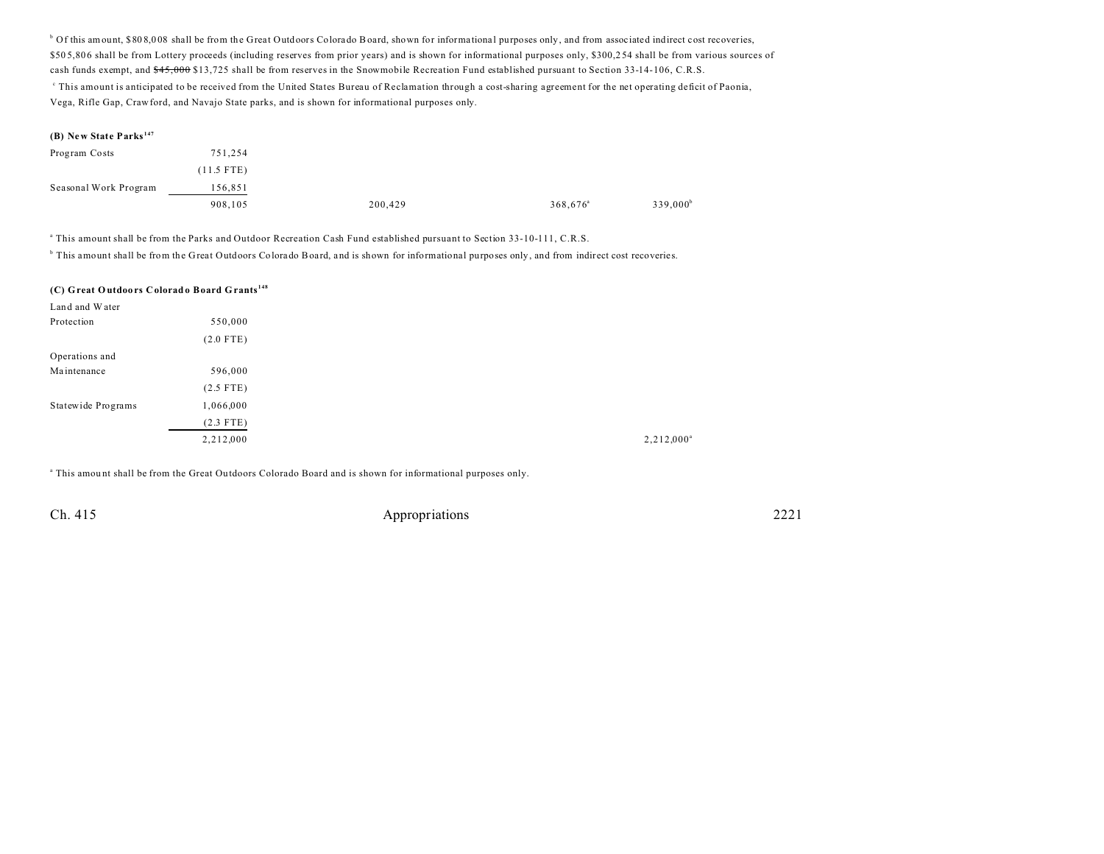<sup>b</sup> Of this amount, \$808,008 shall be from the Great Outdoors Colorado Board, shown for informational purposes only, and from associated indirect cost recoveries, \$505,806 shall be from Lottery proceeds (including reserves from prior years) and is shown for informational purposes only, \$300,254 shall be from various sources of cash funds exempt, and  $*45,000$  \$13,725 shall be from reserves in the Snowmobile Recreation Fund established pursuant to Section 33-14-106, C.R.S. c This amount is anticipated to be received from the United States Bureau of Reclamation through a cost-sharing agreement for the net operating deficit of Paonia, Vega, Rifle Gap, Crawford, and Navajo State parks, and is shown for informational purposes only.

#### **(B) New State Parks <sup>147</sup>**

| Program Costs         | 751,254      |         |                      |                      |
|-----------------------|--------------|---------|----------------------|----------------------|
|                       | $(11.5$ FTE) |         |                      |                      |
| Seasonal Work Program | 156,851      |         |                      |                      |
|                       | 908,105      | 200,429 | 368,676 <sup>a</sup> | 339,000 <sup>b</sup> |

a This amount shall be from the Parks and Outdoor Recreation Cash Fund established pursuant to Section 33-10-111, C.R.S.

b This amount shall be from the Great Outdoors Colora do Board, and is shown for informational purposes only, and from indirect cost recoveries.

#### **(C) Great O utdoo rs Colorado Board Grants <sup>148</sup>**

| Land and Water     |             |
|--------------------|-------------|
| Protection         | 550,000     |
|                    | $(2.0$ FTE) |
| Operations and     |             |
| Maintenance        | 596,000     |
|                    | $(2.5$ FTE) |
| Statewide Programs | 1,066,000   |
|                    | $(2.3$ FTE) |
|                    | 2,212,000   |

a This amou nt shall be from the Great Ou tdoors Colorado Board and is shown for informational purposes only.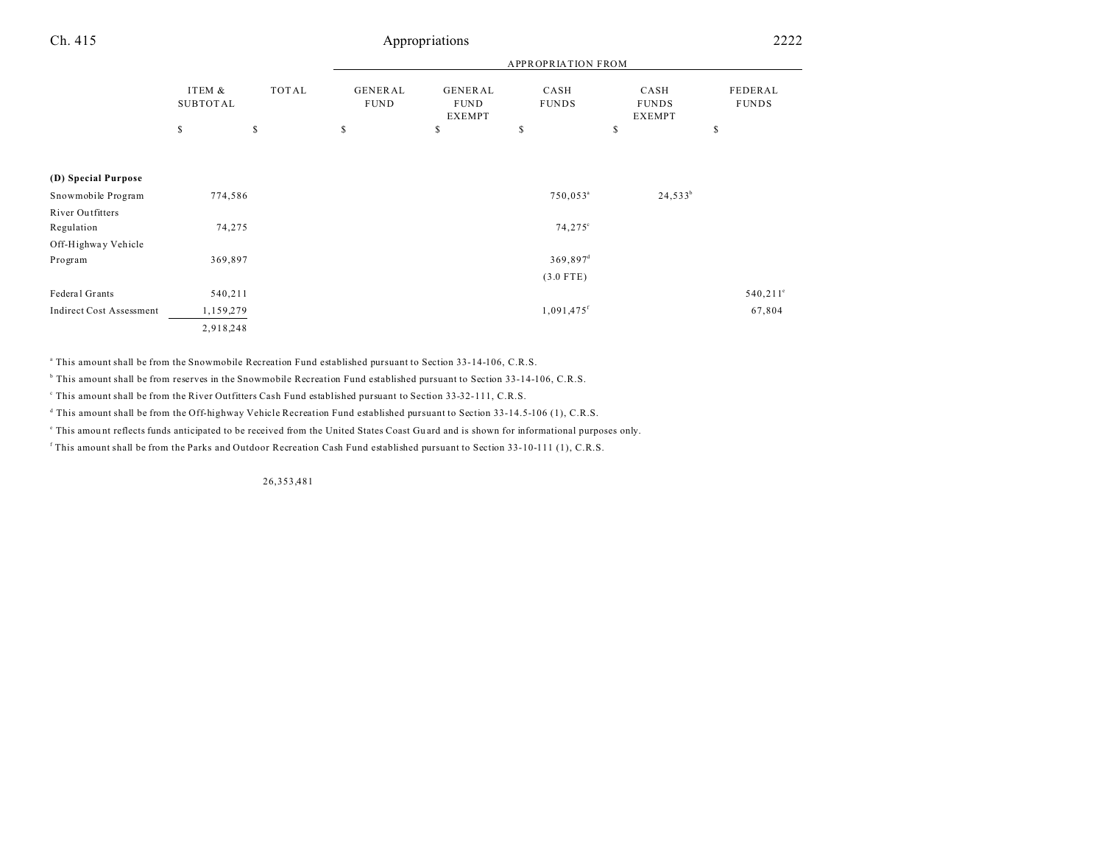| Ch. 415                         |                           |              |                               | Appropriations                          |                           |                                       | 2222                    |
|---------------------------------|---------------------------|--------------|-------------------------------|-----------------------------------------|---------------------------|---------------------------------------|-------------------------|
|                                 |                           |              |                               |                                         | <b>APPROPRIATION FROM</b> |                                       |                         |
|                                 | ITEM &<br><b>SUBTOTAL</b> | <b>TOTAL</b> | <b>GENERAL</b><br><b>FUND</b> | <b>GENERAL</b><br><b>FUND</b><br>EXEMPT | CASH<br><b>FUNDS</b>      | CASH<br><b>FUNDS</b><br><b>EXEMPT</b> | FEDERAL<br><b>FUNDS</b> |
|                                 | \$                        | $\mathbb{S}$ | $\mathbb S$                   | \$                                      | \$                        | \$                                    | \$                      |
| (D) Special Purpose             |                           |              |                               |                                         |                           |                                       |                         |
| Snowmobile Program              | 774,586                   |              |                               |                                         | 750,053 <sup>a</sup>      | $24,533^b$                            |                         |
| River Outfitters                |                           |              |                               |                                         |                           |                                       |                         |
| Regulation                      | 74,275                    |              |                               |                                         | $74,275^{\circ}$          |                                       |                         |
| Off-Highway Vehicle             |                           |              |                               |                                         |                           |                                       |                         |
| Program                         | 369,897                   |              |                               |                                         | $369,897$ <sup>d</sup>    |                                       |                         |
|                                 |                           |              |                               |                                         | $(3.0$ FTE)               |                                       |                         |
| Federal Grants                  | 540,211                   |              |                               |                                         |                           |                                       | $540,211^{\circ}$       |
| <b>Indirect Cost Assessment</b> | 1,159,279                 |              |                               |                                         | 1,091,475f                |                                       | 67,804                  |
|                                 | 2,918,248                 |              |                               |                                         |                           |                                       |                         |

a This amount shall be from the Snowmobile Recreation Fund established pursuant to Section 33-14-106, C.R.S.

<sup>b</sup> This amount shall be from reserves in the Snowmobile Recreation Fund established pursuant to Section 33-14-106, C.R.S.

c This amount shall be from the River Outfitters Cash Fund established pursuant to Section 33-32-111, C.R.S.

d This amount shall be from the Off-highway Vehicle Recreation Fund established pursuant to Section 33-14.5-106 (1), C.R.S.

This amount reflects funds anticipated to be received from the United States Coast Guard and is shown for informational purposes only.

f This amount shall be from the Parks and Outdoor Recreation Cash Fund established pursuant to Section 33-10-111 (1), C.R.S.

26,353,481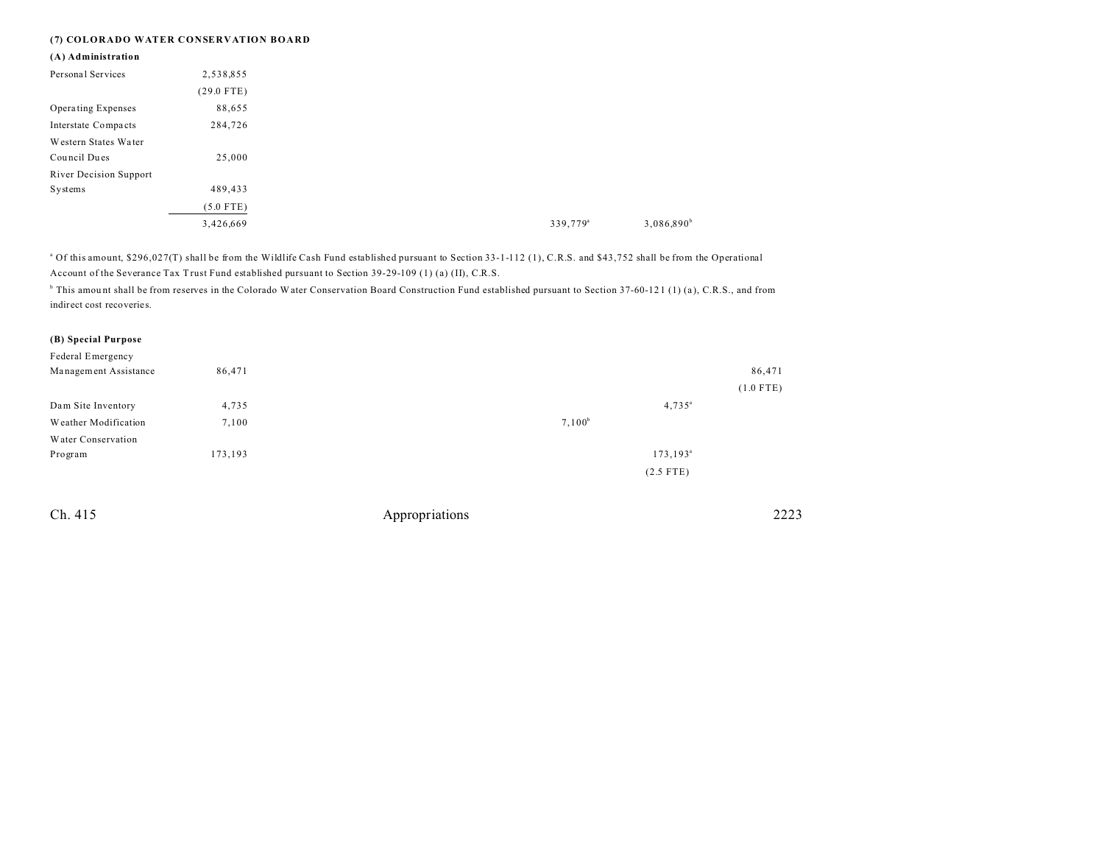#### **(7) COLORADO WATER CONSERVATION BOARD**

| (A) Administration     |              |
|------------------------|--------------|
| Personal Services      | 2,538,855    |
|                        | $(29.0$ FTE) |
| Operating Expenses     | 88,655       |
| Interstate Compacts    | 284,726      |
| Western States Water   |              |
| Council Dues           | 25,000       |
| River Decision Support |              |
| Systems                | 489,433      |
|                        | $(5.0$ FTE)  |
|                        | 3,426,669    |

<sup>a</sup> Of this amount, \$296,027(T) shall be from the Wildlife Cash Fund established pursuant to Section 33-1-112 (1), C.R.S. and \$43,752 shall be from the Operational Account of the Severance Tax Trust Fund established pursuant to Section 39-29-109 (1) (a) (II), C.R.S.

 $^{\circ}$  This amount shall be from reserves in the Colorado Water Conservation Board Construction Fund established pursuant to Section 37-60-121 (1) (a), C.R.S., and from indirect cost recoveries.

#### **(B) Special Purpose**

| Federal Emergency     |         |                    |             |
|-----------------------|---------|--------------------|-------------|
| Management Assistance | 86,471  |                    | 86,471      |
|                       |         |                    | $(1.0$ FTE) |
| Dam Site Inventory    | 4,735   | $4,735^{\circ}$    |             |
| Weather Modification  | 7,100   | $7,100^b$          |             |
| Water Conservation    |         |                    |             |
| Program               | 173,193 | $173, 193^{\circ}$ |             |
|                       |         | $(2.5$ FTE)        |             |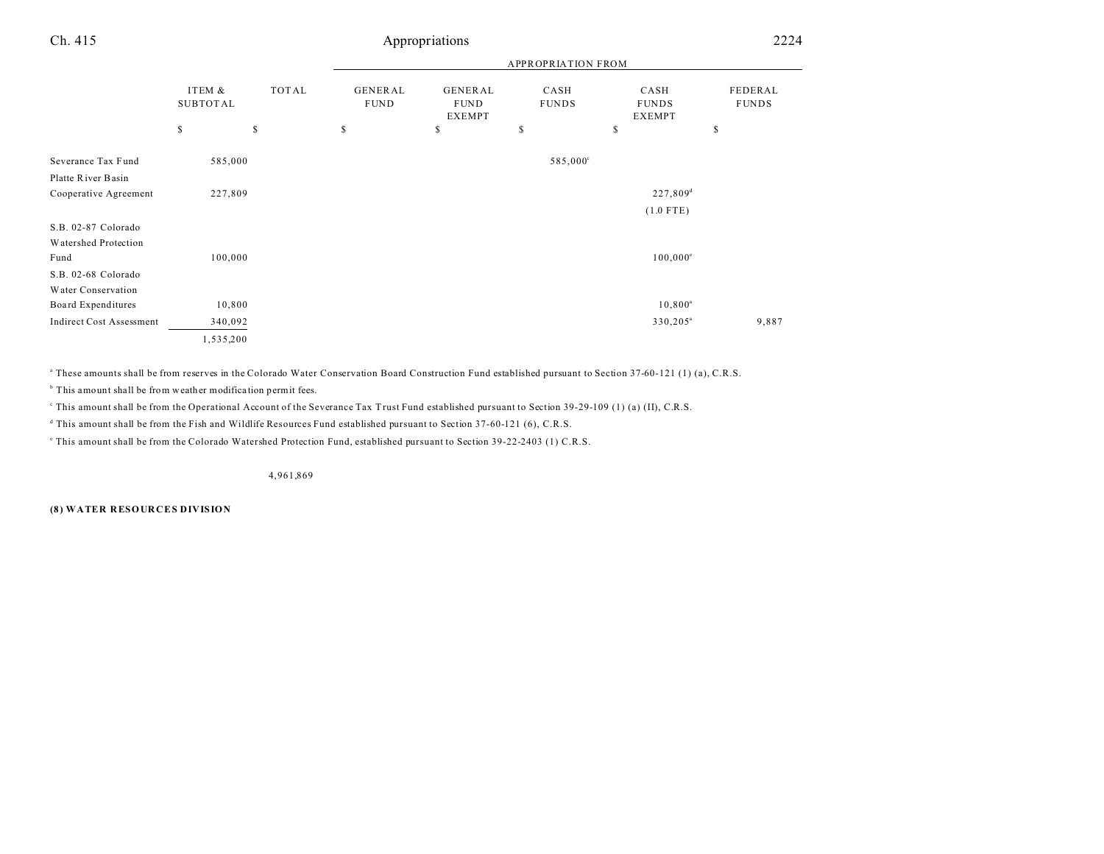|                                                     |                           |       |                        |                                         | <b>APPROPRIATION FROM</b> |                                       |                         |
|-----------------------------------------------------|---------------------------|-------|------------------------|-----------------------------------------|---------------------------|---------------------------------------|-------------------------|
|                                                     | ITEM &<br><b>SUBTOTAL</b> | TOTAL | GENERAL<br><b>FUND</b> | GENERAL<br><b>FUND</b><br><b>EXEMPT</b> | CASH<br><b>FUNDS</b>      | CASH<br><b>FUNDS</b><br><b>EXEMPT</b> | FEDERAL<br><b>FUNDS</b> |
|                                                     | \$                        | \$    | \$                     | \$                                      | \$                        | \$                                    | \$                      |
| Severance Tax Fund<br>Platte River Basin            | 585,000                   |       |                        |                                         | 585,000°                  |                                       |                         |
| Cooperative Agreement                               | 227,809                   |       |                        |                                         |                           | $227,809$ <sup>d</sup>                |                         |
|                                                     |                           |       |                        |                                         |                           | $(1.0$ FTE)                           |                         |
| S.B. 02-87 Colorado<br>Watershed Protection<br>Fund | 100,000                   |       |                        |                                         |                           | $100,000^{\circ}$                     |                         |
| S.B. 02-68 Colorado                                 |                           |       |                        |                                         |                           |                                       |                         |
| Water Conservation                                  |                           |       |                        |                                         |                           |                                       |                         |
| Board Expenditures                                  | 10,800                    |       |                        |                                         |                           | $10,800^{\rm a}$                      |                         |
| <b>Indirect Cost Assessment</b>                     | 340,092                   |       |                        |                                         |                           | $330,205^{\circ}$                     | 9,887                   |
|                                                     | 1,535,200                 |       |                        |                                         |                           |                                       |                         |

a These amounts shall be from reserves in the Colorado Water Conservation Board Construction Fund established pursuant to Section 37-60-121 (1) (a), C.R.S.

<sup>b</sup> This amount shall be from weather modification permit fees.

This amount shall be from the Operational Account of the Severance Tax Trust Fund established pursuant to Section 39-29-109 (1) (a) (II), C.R.S.

d This amount shall be from the Fish and Wildlife Resources Fund established pursuant to Section 37-60-121 (6), C.R.S.

e This amount shall be from the Colorado Watershed Protection Fund, established pursuant to Section 39-22-2403 (1) C.R.S.

4,961,869

**(8) WATER RESOURCES DIVISION**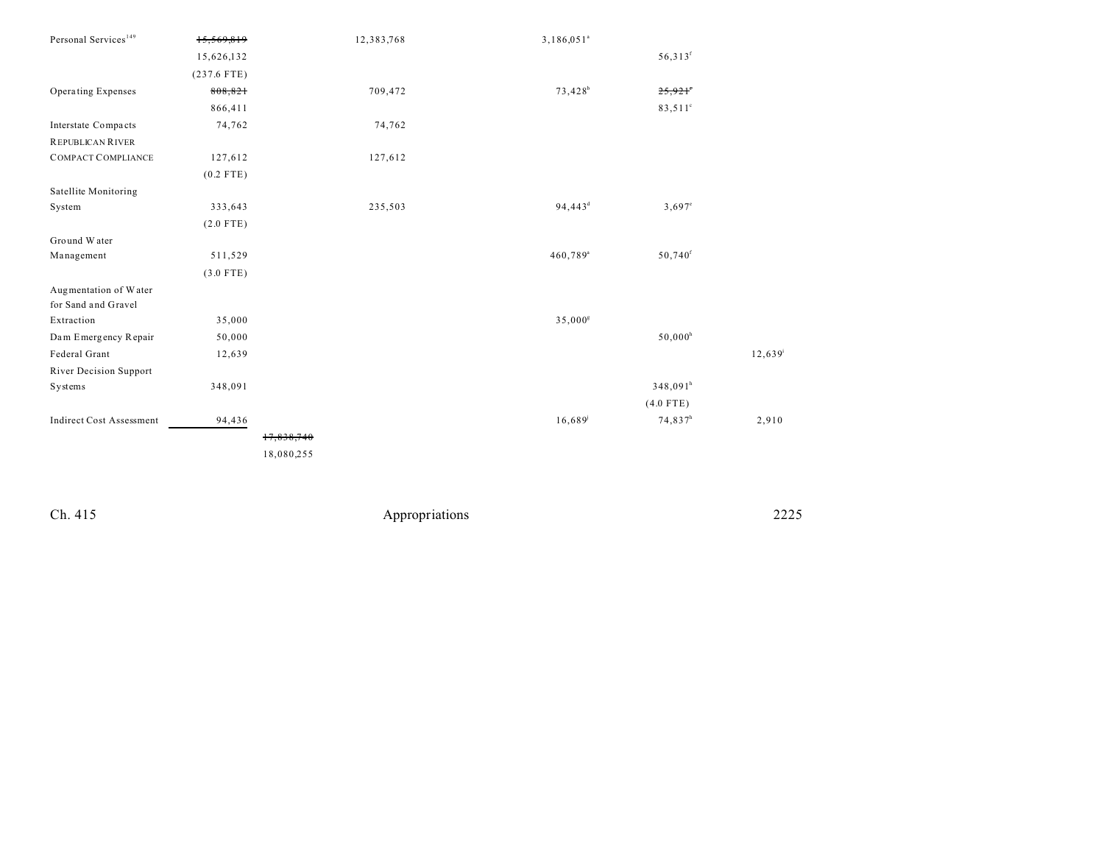| Personal Services <sup>149</sup> | 15,569,819    |            | 12,383,768 | 3,186,051 <sup>a</sup> |                       |        |
|----------------------------------|---------------|------------|------------|------------------------|-----------------------|--------|
|                                  | 15,626,132    |            |            |                        | $56,313$ <sup>f</sup> |        |
|                                  | $(237.6$ FTE) |            |            |                        |                       |        |
| Operating Expenses               | 808,821       |            | 709,472    | 73,428 <sup>b</sup>    | 25,921                |        |
|                                  | 866,411       |            |            |                        | 83,511 <sup>c</sup>   |        |
| Interstate Compacts              | 74,762        |            | 74,762     |                        |                       |        |
| <b>REPUBLICAN RIVER</b>          |               |            |            |                        |                       |        |
| <b>COMPACT COMPLIANCE</b>        | 127,612       |            | 127,612    |                        |                       |        |
|                                  | $(0.2$ FTE)   |            |            |                        |                       |        |
| Satellite Monitoring             |               |            |            |                        |                       |        |
| System                           | 333,643       |            | 235,503    | 94,443 <sup>d</sup>    | $3,697^{\circ}$       |        |
|                                  | $(2.0$ FTE)   |            |            |                        |                       |        |
| Ground Water                     |               |            |            |                        |                       |        |
| Management                       | 511,529       |            |            | $460,789$ <sup>a</sup> | $50,740$ <sup>f</sup> |        |
|                                  | $(3.0$ FTE)   |            |            |                        |                       |        |
| Augmentation of Water            |               |            |            |                        |                       |        |
| for Sand and Gravel              |               |            |            |                        |                       |        |
| Extraction                       | 35,000        |            |            | 35,000 <sup>g</sup>    |                       |        |
| Dam Emergency Repair             | 50,000        |            |            |                        | $50,000^{\rm h}$      |        |
| Federal Grant                    | 12,639        |            |            |                        |                       | 12,639 |
| River Decision Support           |               |            |            |                        |                       |        |
| Systems                          | 348,091       |            |            |                        | $348,091^h$           |        |
|                                  |               |            |            |                        | $(4.0$ FTE)           |        |
| <b>Indirect Cost Assessment</b>  | 94,436        |            |            | 16,689                 | $74,837^h$            | 2,910  |
|                                  |               | 17,838,740 |            |                        |                       |        |
|                                  |               | 18,080,255 |            |                        |                       |        |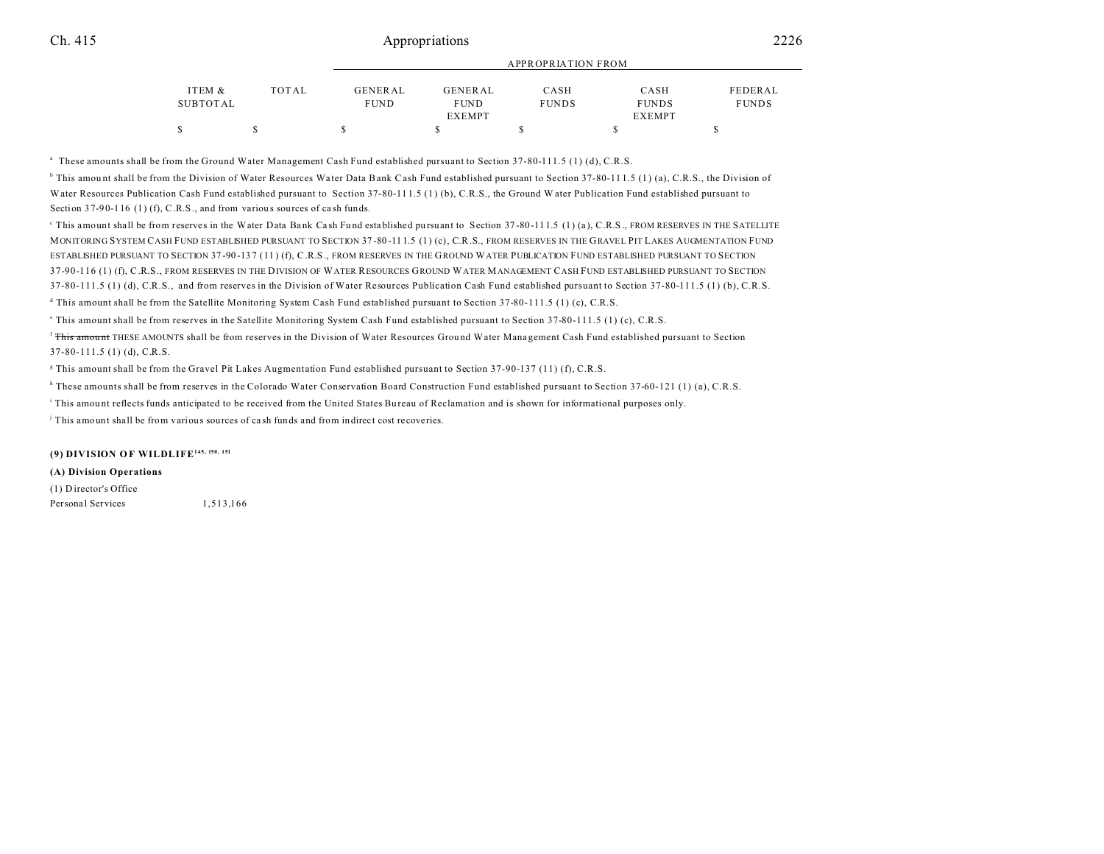|          |       |             |                | APPROPRIATION FROM |               |              |
|----------|-------|-------------|----------------|--------------------|---------------|--------------|
|          |       |             |                |                    |               |              |
| ITEM &   | TOTAL | GENERAL     | <b>GENERAL</b> | CASH               | CASH          | FEDERAL      |
| SUBTOTAL |       | <b>FUND</b> | <b>FUND</b>    | <b>FUNDS</b>       | <b>FUNDS</b>  | <b>FUNDS</b> |
|          |       |             | <b>EXEMPT</b>  |                    | <b>EXEMPT</b> |              |
|          |       |             |                |                    |               |              |

APPROPRIATION FROM

a These amounts shall be from the Ground Water Management Cash Fund established pursuant to Section 37-80-111.5 (1) (d), C.R.S.

<sup>b</sup> This amount shall be from the Division of Water Resources Water Data Bank Cash Fund established pursuant to Section 37-80-111.5 (1) (a), C.R.S., the Division of Water Resources Publication Cash Fund established pursuant to Section 37-80-111.5 (1) (b), C.R.S., the Ground W ater Publication Fund established pursuant to Section 37-90-116 (1) (f), C.R.S., and from various sources of cash funds.

This amount shall be from reserves in the Water Data Bank Cash Fund established pursuant to Section 37-80-111.5 (1) (a), C.R.S., FROM RESERVES IN THE SATELLITE MONITORING SYSTEM CASH FUND ESTABLISHED PURSUANT TO SECTION 37 -80 -11 1.5 (1) (c), C.R.S., FROM RESERVES IN THE GRAVEL PIT LAKES AUGMENTATION FUND ESTABLISHED PURSUANT TO SECTION 37 -90 -13 7 (11 ) (f), C.R.S., FROM RESERVES IN THE GROUND WATER PUBLICATION FUND ESTABLISHED PURSUANT TO SECTION 37-90-116 (1) (f), C.R.S., FROM RESERVES IN THE DIVISION OF WATER RESOURCES GROUND WATER MANAGEMENT CASH FUND ESTABLISHED PURSUANT TO SECTION 37-80-111.5 (1) (d), C.R.S., and from reserves in the Division of Water Resources Publication Cash Fund established pursuant to Section 37-80-111.5 (1) (b), C.R.S.

d This amount shall be from the Satellite Monitoring System Cash Fund established pursuant to Section 37-80-111.5 (1) (c), C.R.S.

e This amount shall be from reserves in the Satellite Monitoring System Cash Fund established pursuant to Section 37-80-111.5 (1) (c), C.R.S.

<sup>f</sup> This amount THESE AMOUNTS shall be from reserves in the Division of Water Resources Ground Water Management Cash Fund established pursuant to Section 37-80-111.5 (1) (d), C.R.S.

g This amount shall be from the Gravel Pit Lakes Augmentation Fund established pursuant to Section 37-90-137 (11) (f), C.R.S.

h These amounts shall be from reserves in the Colorado Water Conservation Board Construction Fund established pursuant to Section 37-60-121 (1) (a), C.R.S.

i This amou nt reflects funds anticipated to be received from the United States Bu reau of Reclamation and is shown for informational purposes only.

j This amount shall be from various sources of ca sh funds and from indirect cost recoveries.

#### **(9) DIVISION O F WILDLIFE145, 150, 151**

#### **(A) Division Operations**

(1) D irector's Office

Personal Services 1,513,166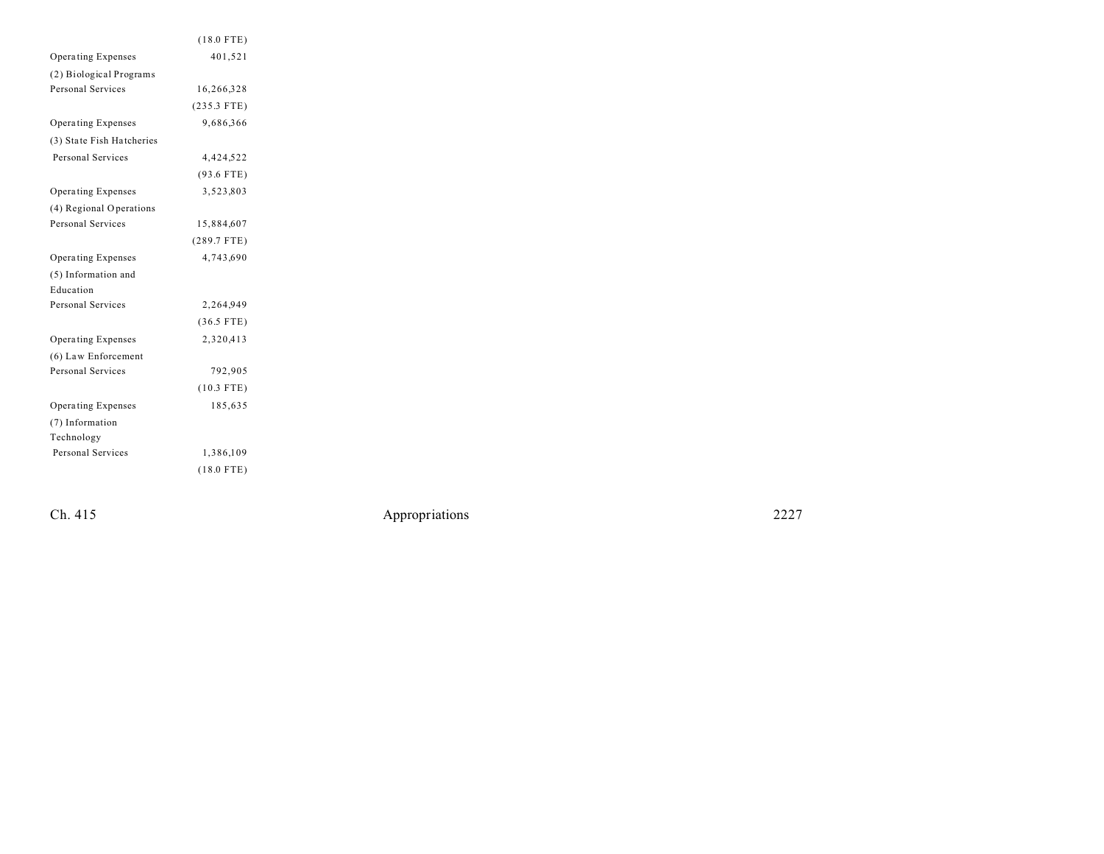|                           | $(18.0$ FTE)  |  |
|---------------------------|---------------|--|
| Operating Expenses        | 401,521       |  |
| (2) Biological Programs   |               |  |
| <b>Personal Services</b>  | 16,266,328    |  |
|                           | $(235.3$ FTE) |  |
| <b>Operating Expenses</b> | 9,686,366     |  |
| (3) State Fish Hatcheries |               |  |
| <b>Personal Services</b>  | 4,424,522     |  |
|                           | $(93.6$ FTE)  |  |
| Operating Expenses        | 3,523,803     |  |
| (4) Regional Operations   |               |  |
| Personal Services         | 15,884,607    |  |
|                           | $(289.7$ FTE) |  |
| Operating Expenses        | 4,743,690     |  |
| (5) Information and       |               |  |
| Education                 |               |  |
| Personal Services         | 2,264,949     |  |
|                           | $(36.5$ FTE)  |  |
| Operating Expenses        | 2,320,413     |  |
| (6) Law Enforcement       |               |  |
| Personal Services         | 792,905       |  |
|                           | $(10.3$ FTE)  |  |
| Operating Expenses        | 185,635       |  |
| (7) Information           |               |  |
| Technology                |               |  |
| Personal Services         | 1,386,109     |  |
|                           | $(18.0$ FTE)  |  |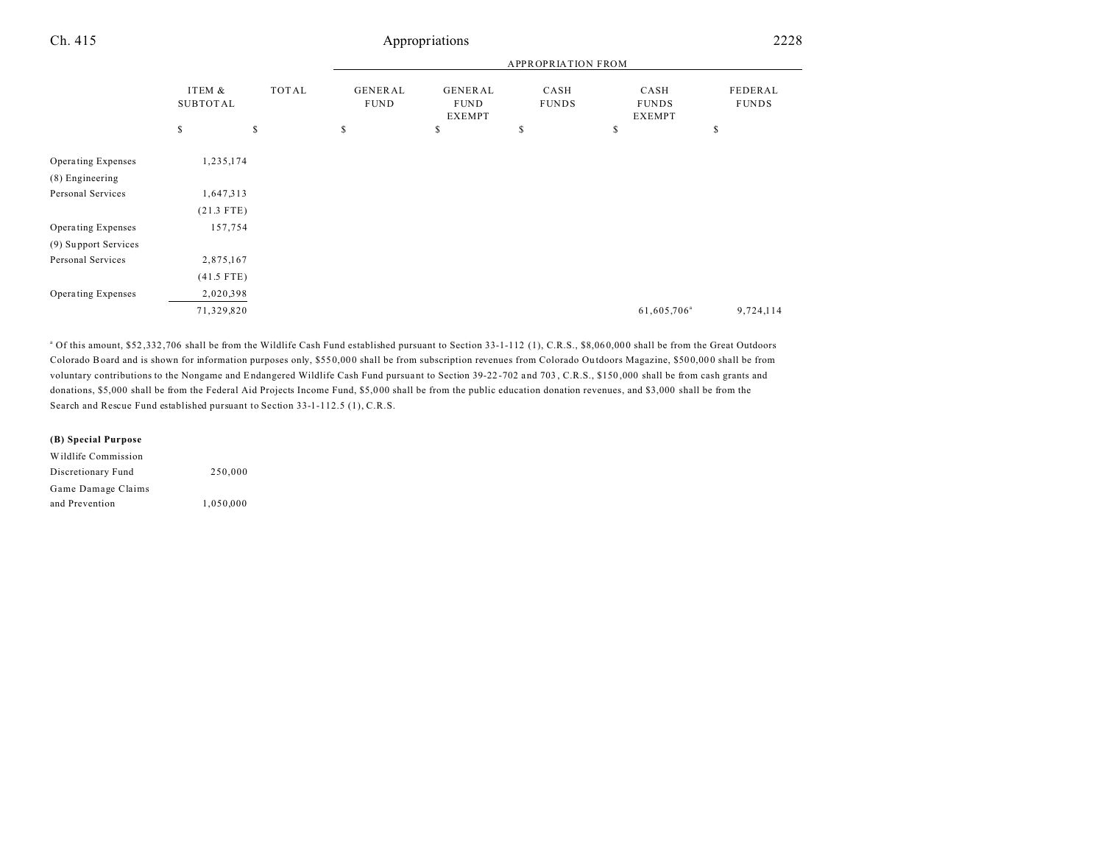|                                       |                           |              |                        |                                  | <b>APPROPRIATION FROM</b> |                                       |                         |
|---------------------------------------|---------------------------|--------------|------------------------|----------------------------------|---------------------------|---------------------------------------|-------------------------|
|                                       | ITEM &<br><b>SUBTOTAL</b> | TOTAL        | GENERAL<br><b>FUND</b> | GENERAL<br><b>FUND</b><br>EXEMPT | CASH<br><b>FUNDS</b>      | CASH<br><b>FUNDS</b><br><b>EXEMPT</b> | FEDERAL<br><b>FUNDS</b> |
|                                       | $\mathbb{S}$              | $\mathbb{S}$ | s                      | \$                               | \$                        | \$                                    | \$                      |
| Operating Expenses<br>(8) Engineering | 1,235,174                 |              |                        |                                  |                           |                                       |                         |
| Personal Services                     | 1,647,313                 |              |                        |                                  |                           |                                       |                         |
|                                       | $(21.3$ FTE)              |              |                        |                                  |                           |                                       |                         |
| Operating Expenses                    | 157,754                   |              |                        |                                  |                           |                                       |                         |
| (9) Support Services                  |                           |              |                        |                                  |                           |                                       |                         |
| Personal Services                     | 2,875,167                 |              |                        |                                  |                           |                                       |                         |
|                                       | $(41.5$ FTE)              |              |                        |                                  |                           |                                       |                         |
| Operating Expenses                    | 2,020,398                 |              |                        |                                  |                           |                                       |                         |
|                                       | 71,329,820                |              |                        |                                  |                           | 61,605,706 <sup>a</sup>               | 9,724,114               |

<sup>a</sup> Of this amount, \$52,332,706 shall be from the Wildlife Cash Fund established pursuant to Section 33-1-112 (1), C.R.S., \$8,060,000 shall be from the Great Outdoors Colorado Board and is shown for information purposes only, \$55 0,00 0 shall be from subscription revenues from Colorado Ou tdoors Magazine, \$50 0,00 0 shall be from voluntary contributions to the Nongame and Endangered Wildlife Cash Fund pursuant to Section 39-22 -702 a nd 703 , C.R.S., \$150 ,000 shall be from cash grants and donations, \$5,000 shall be from the Federal Aid Projects Income Fund, \$5,000 shall be from the public education donation revenues, and \$3,000 shall be from the Search and Rescue Fund established pursuant to Section 33-1-112.5 (1), C.R.S.

#### **(B) Special Purpose**

| Wildlife Commission |           |
|---------------------|-----------|
| Discretionary Fund  | 250,000   |
| Game Damage Claims  |           |
| and Prevention      | 1.050.000 |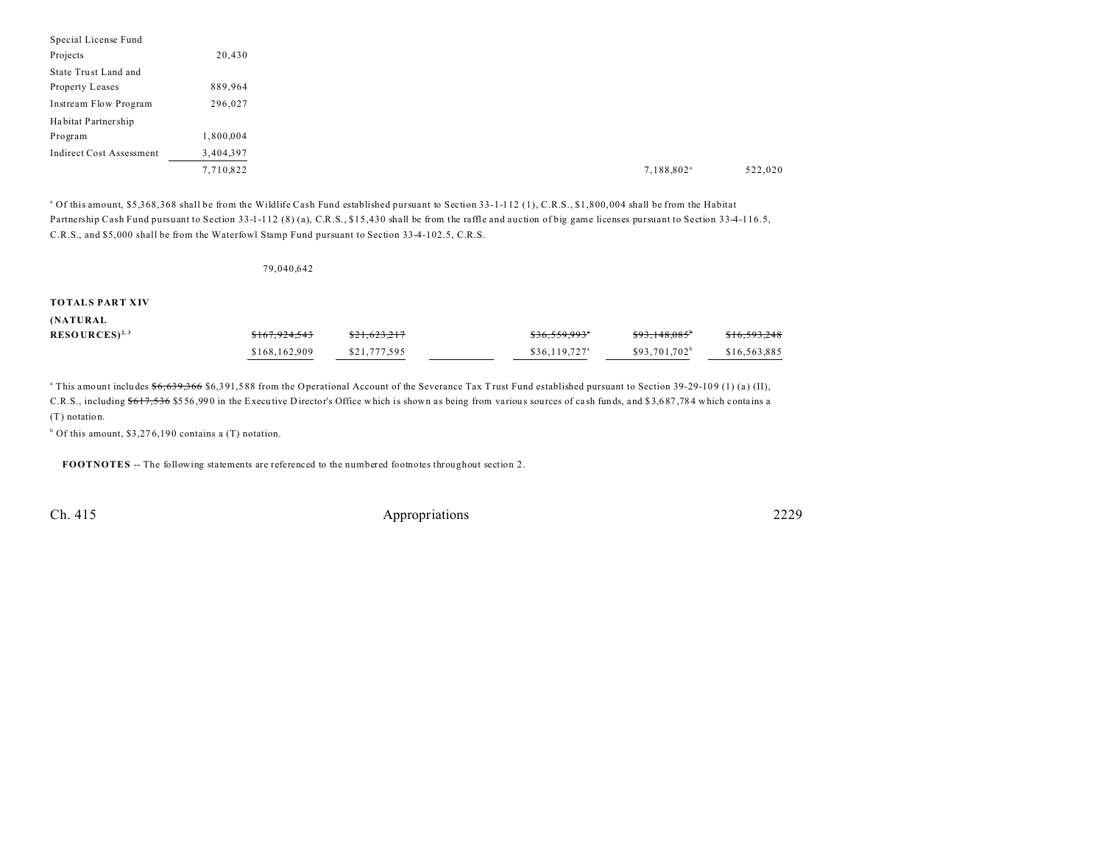| 20,430    |
|-----------|
|           |
| 889,964   |
| 296,027   |
|           |
| 1,800,004 |
| 3,404,397 |
| 7,710,822 |
|           |

<sup>a</sup> Of this amount, \$5,368,368 shall be from the Wildlife Cash Fund established pursuant to Section 33-1-112 (1), C.R.S., \$1,800,004 shall be from the Habitat Partnership Cash Fund pursuant to Section 33-1-112 (8) (a), C.R.S., \$15,430 shall be from the raffle and auction of big game licenses pursuant to Section 33-4-116.5, C.R.S., and \$5,000 shall be from the Waterfowl Stamp Fund pursuant to Section 33-4-102.5, C.R.S.

79,040,642

#### **TOTALS PART XIV**

| (NATURAL |  |  |  |
|----------|--|--|--|
|----------|--|--|--|

| $RESOURCES)^{2,3}$ | \$167.924.543 | \$21.623.217 | \$36.559.993"              | $$93.148.085$ <sup>b</sup> | \$16,593,248 |
|--------------------|---------------|--------------|----------------------------|----------------------------|--------------|
|                    | \$168,162,909 | \$21,777,595 | $$36.119.727$ <sup>a</sup> | \$93.701.702 <sup>b</sup>  | \$16,563,885 |

<sup>a</sup> This amount includes <del>\$6,639,366</del> \$6,391,588 from the Operational Account of the Severance Tax Trust Fund established pursuant to Section 39-29-109 (1) (a) (II), C.R.S., including \$617,536 \$556,990 in the Executive Director's Office which is shown as being from various sources of cash funds, and \$3,687,784 which contains a (T) notation.

 $b$  Of this amount, \$3,276,190 contains a (T) notation.

**FOOTNOTES** -- The following statements are referenced to the numbered footnotes throughout section 2.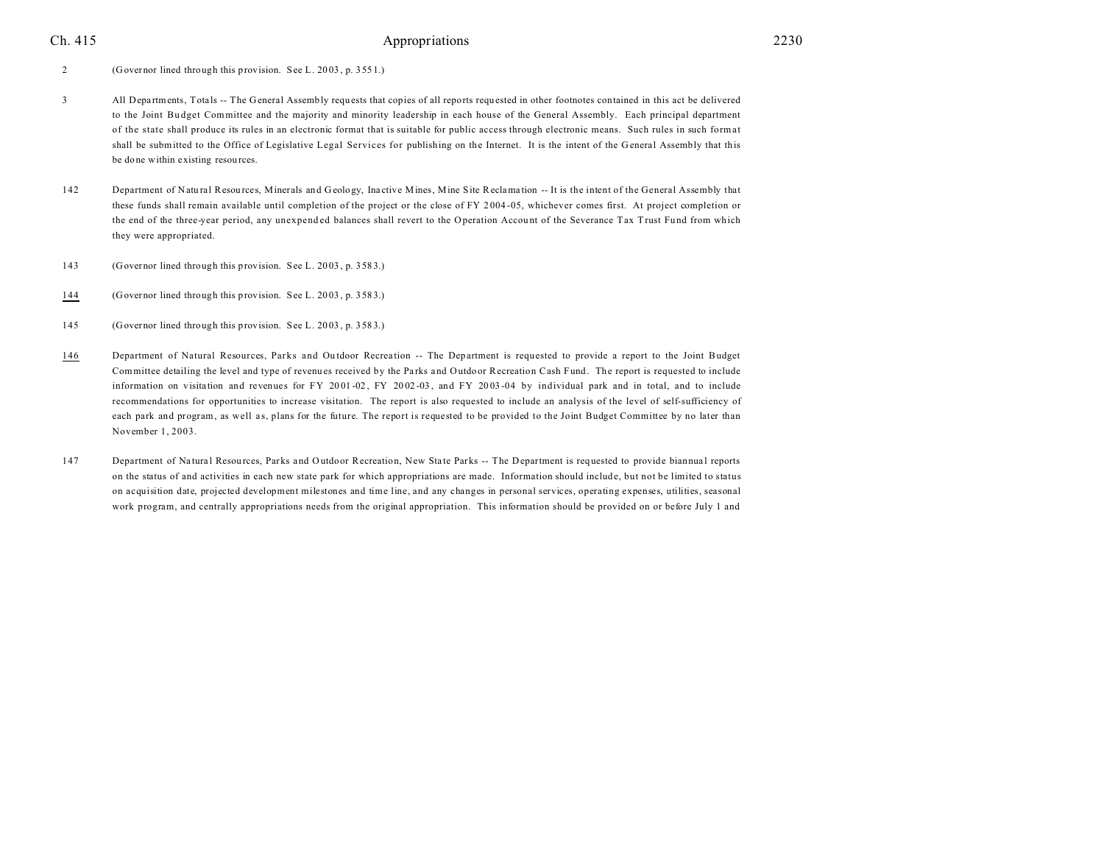2 (Governor lined through this provision. See L. 20 03 , p. 355 1.)

- 3 All Departments, Totals -- The General Assembly requests that copies of all reports requested in other footnotes contained in this act be delivered to the Joint Bu dget Committee and the majority and minority leadership in each house of the General Assembly. Each principal department of the state shall produce its rules in an electronic format that is suitable for public access through electronic means. Such rules in such format shall be submitted to the Office of Legislative Legal Services for publishing on the Internet. It is the intent of the G eneral Assembly that this be done within existing resou rces.
- 142 Department of Natural Resources, Minerals and Geology, Inactive Mines, Mine Site Reclamation -- It is the intent of the General Assembly that these funds shall remain available until completion of the project or the close of FY 2 004 -05, whichever comes first. At project completion or the end of the three-year period, any unexpended balances shall revert to the Operation Account of the Severance Tax Trust Fund from which they were appropriated.
- 143 (Governor lined through this provision. See L. 20 03 , p. 358 3.)
- 144 (Governor lined through this provision. See L. 20 03 , p. 358 3.)
- 145 (Governor lined through this provision. See L. 20 03 , p. 358 3.)
- 146 Department of Natural Resources, Parks and Outdoor Recreation -- The Department is requested to provide a report to the Joint Budget Committee detailing the level and type of revenues received by the Parks and Outdoor Recreation Cash Fund. The report is requested to include information on visitation and revenues for FY 2001-02, FY 2002-03, and FY 2003-04 by individual park and in total, and to include recommendations for opportunities to increase visitation. The report is also requested to include an analysis of the level of self-sufficiency of each park and program, as well as, plans for the future. The report is requested to be provided to the Joint Budget Committee by no later than November 1, 2003.
- 147 Department of Natural Resources, Parks and Outdoor Recreation, New State Parks -- The Department is requested to provide biannual reports on the status of and activities in each new state park for which appropriations are made. Information should include, but not be limited to status on acquisition date, projected development milestones and time line, and any changes in personal services, operating expenses, utilities, seasonal work program, and centrally appropriations needs from the original appropriation. This information should be provided on or before July 1 and